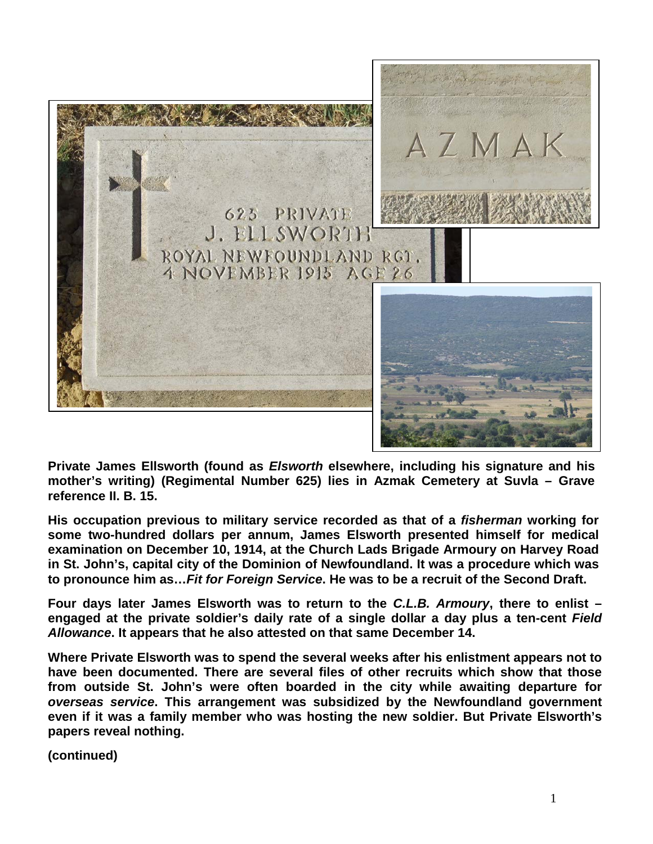

**Private James Ellsworth (found as** *Elsworth* **elsewhere, including his signature and his mother's writing) (Regimental Number 625) lies in Azmak Cemetery at Suvla – Grave reference II. B. 15.** 

**His occupation previous to military service recorded as that of a** *fisherman* **working for some two-hundred dollars per annum, James Elsworth presented himself for medical examination on December 10, 1914, at the Church Lads Brigade Armoury on Harvey Road in St. John's, capital city of the Dominion of Newfoundland. It was a procedure which was to pronounce him as…***Fit for Foreign Service***. He was to be a recruit of the Second Draft.**

**Four days later James Elsworth was to return to the** *C.L.B. Armoury***, there to enlist – engaged at the private soldier's daily rate of a single dollar a day plus a ten-cent** *Field Allowance***. It appears that he also attested on that same December 14.** 

**Where Private Elsworth was to spend the several weeks after his enlistment appears not to have been documented. There are several files of other recruits which show that those from outside St. John's were often boarded in the city while awaiting departure for**  *overseas service***. This arrangement was subsidized by the Newfoundland government even if it was a family member who was hosting the new soldier. But Private Elsworth's papers reveal nothing.**

**(continued)**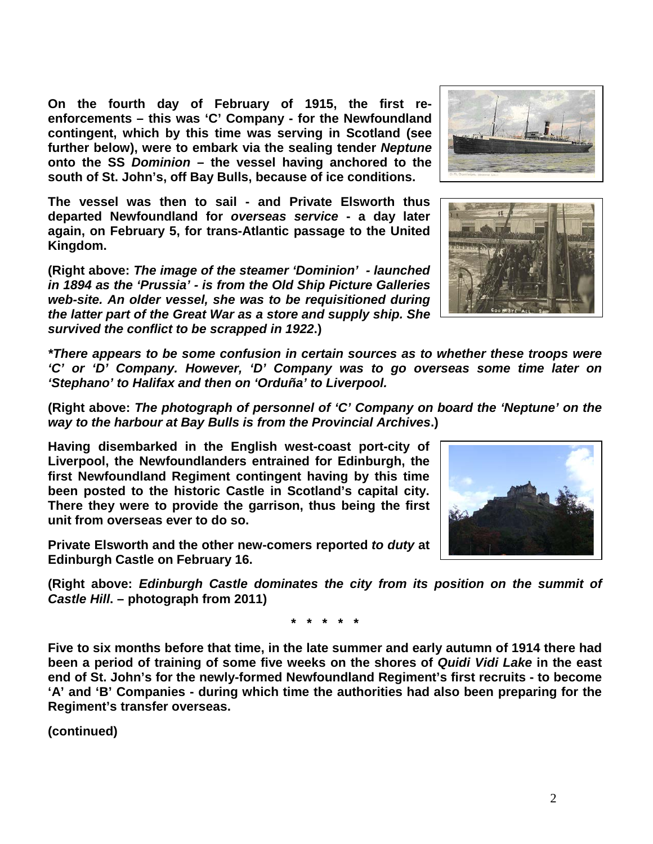2

**On the fourth day of February of 1915, the first reenforcements – this was 'C' Company - for the Newfoundland contingent, which by this time was serving in Scotland (see further below), were to embark via the sealing tender** *Neptune* **onto the SS** *Dominion* **– the vessel having anchored to the south of St. John's, off Bay Bulls, because of ice conditions.** 

**The vessel was then to sail - and Private Elsworth thus departed Newfoundland for** *overseas service* **- a day later again, on February 5, for trans-Atlantic passage to the United Kingdom.**

**(Right above:** *The image of the steamer 'Dominion' - launched in 1894 as the 'Prussia' - is from the Old Ship Picture Galleries web-site. An older vessel, she was to be requisitioned during the latter part of the Great War as a store and supply ship. She survived the conflict to be scrapped in 1922***.)**

*\*There appears to be some confusion in certain sources as to whether these troops were 'C' or 'D' Company. However, 'D' Company was to go overseas some time later on 'Stephano' to Halifax and then on 'Orduña' to Liverpool.*

**(Right above:** *The photograph of personnel of 'C' Company on board the 'Neptune' on the way to the harbour at Bay Bulls is from the Provincial Archives***.)**

**Having disembarked in the English west-coast port-city of Liverpool, the Newfoundlanders entrained for Edinburgh, the first Newfoundland Regiment contingent having by this time been posted to the historic Castle in Scotland's capital city. There they were to provide the garrison, thus being the first unit from overseas ever to do so.** 

**Private Elsworth and the other new-comers reported** *to duty* **at Edinburgh Castle on February 16.** 

**(Right above:** *Edinburgh Castle dominates the city from its position on the summit of Castle Hill***. – photograph from 2011)**

**\* \* \* \* \***

**Five to six months before that time, in the late summer and early autumn of 1914 there had been a period of training of some five weeks on the shores of** *Quidi Vidi Lake* **in the east end of St. John's for the newly-formed Newfoundland Regiment's first recruits - to become 'A' and 'B' Companies - during which time the authorities had also been preparing for the Regiment's transfer overseas.**

**(continued)**





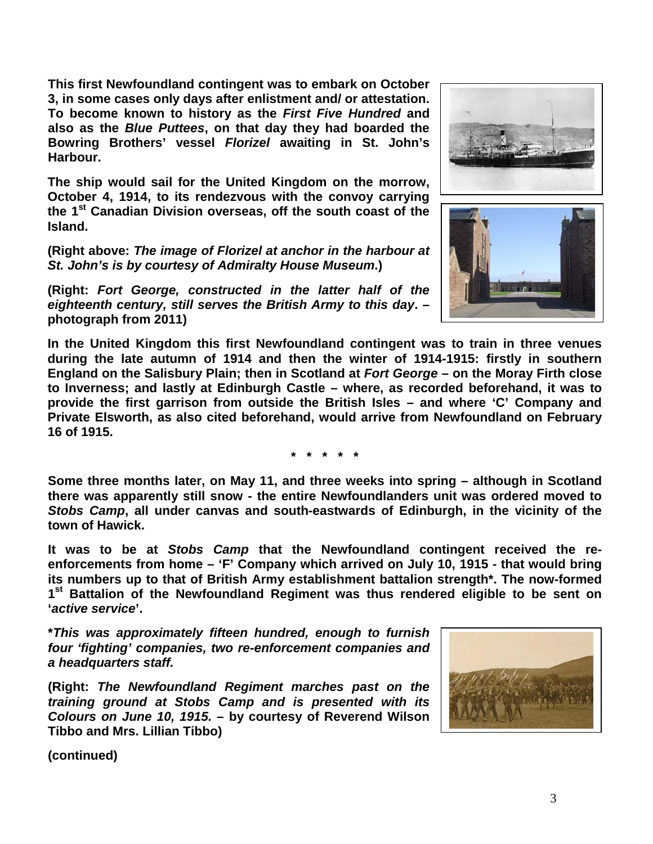**This first Newfoundland contingent was to embark on October 3, in some cases only days after enlistment and/ or attestation. To become known to history as the** *First Five Hundred* **and also as the** *Blue Puttees***, on that day they had boarded the Bowring Brothers' vessel** *Florizel* **awaiting in St. John's Harbour.**

**The ship would sail for the United Kingdom on the morrow, October 4, 1914, to its rendezvous with the convoy carrying the 1st Canadian Division overseas, off the south coast of the Island.** 

**(Right above:** *The image of Florizel at anchor in the harbour at St. John's is by courtesy of Admiralty House Museum***.)**

**(Right:** *Fort George, constructed in the latter half of the eighteenth century, still serves the British Army to this day***. – photograph from 2011)**

**In the United Kingdom this first Newfoundland contingent was to train in three venues during the late autumn of 1914 and then the winter of 1914-1915: firstly in southern England on the Salisbury Plain; then in Scotland at** *Fort George* **– on the Moray Firth close to Inverness; and lastly at Edinburgh Castle – where, as recorded beforehand, it was to provide the first garrison from outside the British Isles – and where 'C' Company and Private Elsworth, as also cited beforehand, would arrive from Newfoundland on February 16 of 1915.**

**\* \* \* \* \***

**Some three months later, on May 11, and three weeks into spring – although in Scotland there was apparently still snow - the entire Newfoundlanders unit was ordered moved to**  *Stobs Camp***, all under canvas and south-eastwards of Edinburgh, in the vicinity of the town of Hawick.**

**It was to be at** *Stobs Camp* **that the Newfoundland contingent received the reenforcements from home – 'F' Company which arrived on July 10, 1915 - that would bring its numbers up to that of British Army establishment battalion strength\*. The now-formed 1st Battalion of the Newfoundland Regiment was thus rendered eligible to be sent on '***active service***'.**

**\****This was approximately fifteen hundred, enough to furnish four 'fighting' companies, two re-enforcement companies and a headquarters staff.*

**(Right:** *The Newfoundland Regiment marches past on the training ground at Stobs Camp and is presented with its Colours on June 10, 1915.* **– by courtesy of Reverend Wilson Tibbo and Mrs. Lillian Tibbo)**





**(continued)**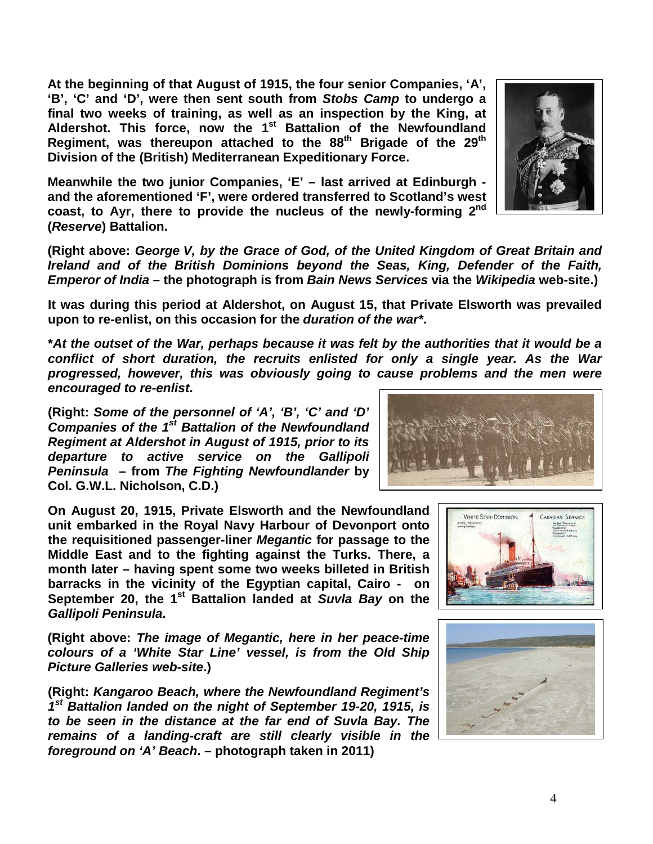**At the beginning of that August of 1915, the four senior Companies, 'A', 'B', 'C' and 'D', were then sent south from** *Stobs Camp* **to undergo a final two weeks of training, as well as an inspection by the King, at Aldershot. This force, now the 1st Battalion of the Newfoundland Regiment, was thereupon attached to the 88th Brigade of the 29th Division of the (British) Mediterranean Expeditionary Force.**

**Meanwhile the two junior Companies, 'E' – last arrived at Edinburgh and the aforementioned 'F', were ordered transferred to Scotland's west coast, to Ayr, there to provide the nucleus of the newly-forming 2nd (***Reserve***) Battalion.**

**(Right above:** *George V, by the Grace of God, of the United Kingdom of Great Britain and Ireland and of the British Dominions beyond the Seas, King, Defender of the Faith, Emperor of India* **– the photograph is from** *Bain News Services* **via the** *Wikipedia* **web-site.)**

**It was during this period at Aldershot, on August 15, that Private Elsworth was prevailed upon to re-enlist, on this occasion for the** *duration of the war\****.**

**\****At the outset of the War, perhaps because it was felt by the authorities that it would be a conflict of short duration, the recruits enlisted for only a single year. As the War progressed, however, this was obviously going to cause problems and the men were encouraged to re-enlist***.**

**(Right:** *Some of the personnel of 'A', 'B', 'C' and 'D' Companies of the 1st Battalion of the Newfoundland Regiment at Aldershot in August of 1915, prior to its departure to active service on the Gallipoli Peninsula* **– from** *The Fighting Newfoundlander* **by Col. G.W.L. Nicholson, C.D.)**

**On August 20, 1915, Private Elsworth and the Newfoundland unit embarked in the Royal Navy Harbour of Devonport onto the requisitioned passenger-liner** *Megantic* **for passage to the Middle East and to the fighting against the Turks. There, a month later – having spent some two weeks billeted in British barracks in the vicinity of the Egyptian capital, Cairo - on September 20, the 1st Battalion landed at** *Suvla Bay* **on the**  *Gallipoli Peninsula***.**

**(Right above:** *The image of Megantic, here in her peace-time colours of a 'White Star Line' vessel, is from the Old Ship Picture Galleries web-site***.)**

**(Right:** *Kangaroo Beach, where the Newfoundland Regiment's 1st Battalion landed on the night of September 19-20, 1915, is to be seen in the distance at the far end of Suvla Bay. The remains of a landing-craft are still clearly visible in the foreground on 'A' Beach***. – photograph taken in 2011)**





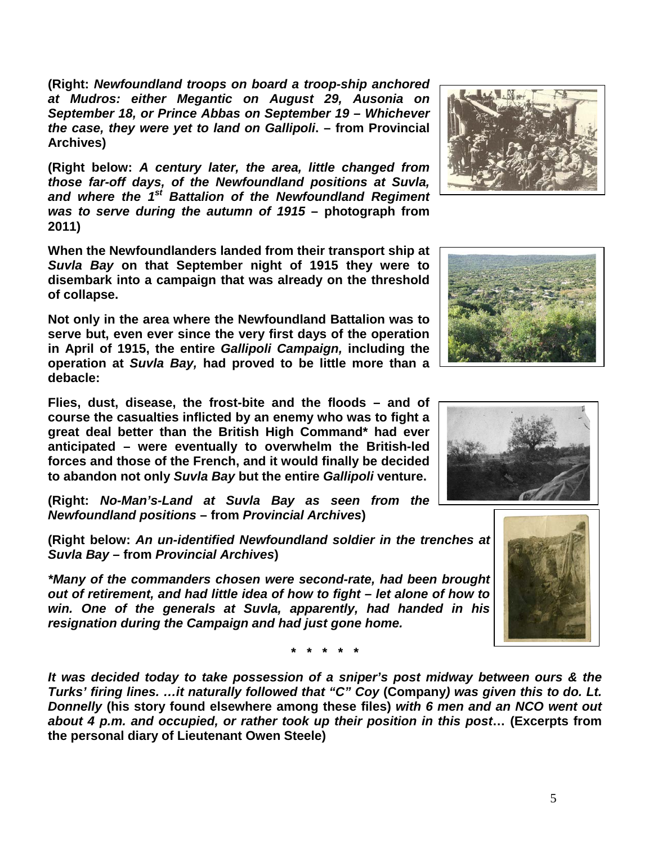**(Right:** *Newfoundland troops on board a troop-ship anchored at Mudros: either Megantic on August 29, Ausonia on September 18, or Prince Abbas on September 19 – Whichever the case, they were yet to land on Gallipoli***. – from Provincial Archives)**

**(Right below:** *A century later, the area, little changed from those far-off days, of the Newfoundland positions at Suvla, and where the 1st Battalion of the Newfoundland Regiment was to serve during the autumn of 1915* **– photograph from 2011)**

**When the Newfoundlanders landed from their transport ship at**  *Suvla Bay* **on that September night of 1915 they were to disembark into a campaign that was already on the threshold of collapse.**

**Not only in the area where the Newfoundland Battalion was to serve but, even ever since the very first days of the operation in April of 1915, the entire** *Gallipoli Campaign,* **including the operation at** *Suvla Bay,* **had proved to be little more than a debacle:** 

**Flies, dust, disease, the frost-bite and the floods – and of course the casualties inflicted by an enemy who was to fight a great deal better than the British High Command\* had ever anticipated – were eventually to overwhelm the British-led forces and those of the French, and it would finally be decided to abandon not only** *Suvla Bay* **but the entire** *Gallipoli* **venture.**

**(Right:** *No-Man's-Land at Suvla Bay as seen from the Newfoundland positions* **– from** *Provincial Archives***)**

**(Right below:** *An un-identified Newfoundland soldier in the trenches at Suvla Bay –* **from** *Provincial Archives***)**

*\*Many of the commanders chosen were second-rate, had been brought out of retirement, and had little idea of how to fight – let alone of how to win. One of the generals at Suvla, apparently, had handed in his resignation during the Campaign and had just gone home.* 

**\* \* \* \* \***

*It was decided today to take possession of a sniper's post midway between ours & the Turks' firing lines. …it naturally followed that "C" Coy* **(Company***) was given this to do. Lt. Donnelly* **(his story found elsewhere among these files)** *with 6 men and an NCO went out about 4 p.m. and occupied, or rather took up their position in this post***… (Excerpts from the personal diary of Lieutenant Owen Steele)**







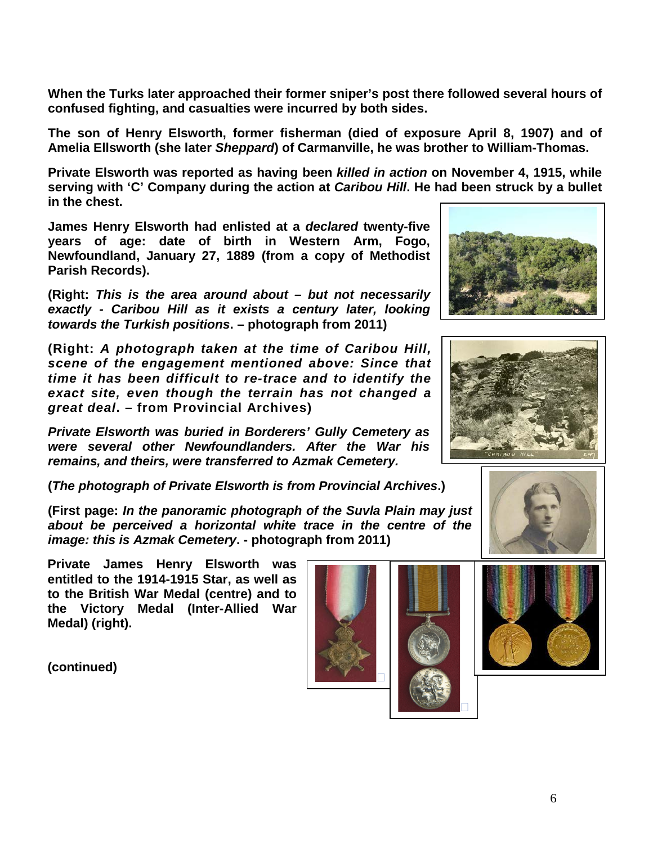**When the Turks later approached their former sniper's post there followed several hours of confused fighting, and casualties were incurred by both sides.**

**The son of Henry Elsworth, former fisherman (died of exposure April 8, 1907) and of Amelia Ellsworth (she later** *Sheppard***) of Carmanville, he was brother to William-Thomas.**

**Private Elsworth was reported as having been** *killed in action* **on November 4, 1915, while serving with 'C' Company during the action at** *Caribou Hill***. He had been struck by a bullet in the chest.** 

**James Henry Elsworth had enlisted at a** *declared* **twenty-five years of age: date of birth in Western Arm, Fogo, Newfoundland, January 27, 1889 (from a copy of Methodist Parish Records).**

**(Right:** *This is the area around about – but not necessarily exactly - Caribou Hill as it exists a century later, looking towards the Turkish positions***. – photograph from 2011)**

**(Right:** *A photograph taken at the time of Caribou Hill, scene of the engagement mentioned above: Since that time it has been difficult to re-trace and to identify the exact site, even though the terrain has not changed a great deal***. – from Provincial Archives)**

*Private Elsworth was buried in Borderers' Gully Cemetery as were several other Newfoundlanders. After the War his remains, and theirs, were transferred to Azmak Cemetery.*

**(***The photograph of Private Elsworth is from Provincial Archives***.)**

**(First page:** *In the panoramic photograph of the Suvla Plain may just about be perceived a horizontal white trace in the centre of the image: this is Azmak Cemetery***. - photograph from 2011)**

**Private James Henry Elsworth was entitled to the 1914-1915 Star, as well as to the British War Medal (centre) and to the Victory Medal (Inter-Allied War Medal) (right).**











 $\Box$